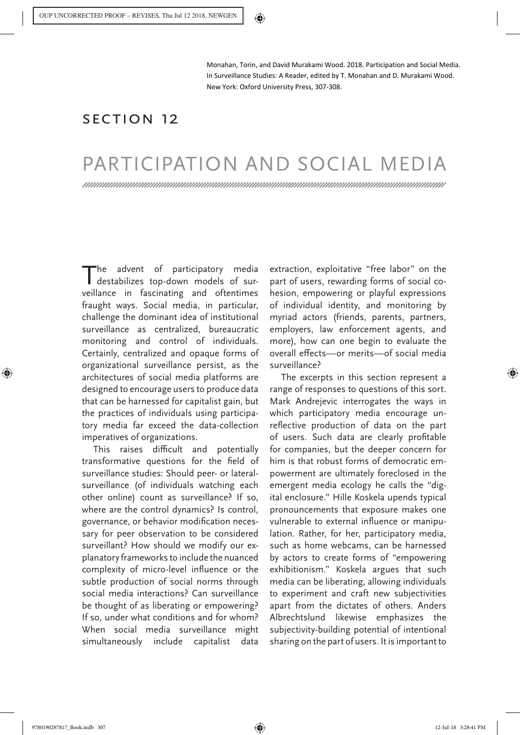Monahan, Torin, and David Murakami Wood. 2018. Participation and Social Media. In Surveillance Studies: A Reader, edited by T. Monahan and D. Murakami Wood. New York: Oxford University Press, 307-308.

## Section 12

## PARTICIPATION AND SOCIAL MEDIA

The advent of participatory media destabilizes top-down models of surveillance in fascinating and oftentimes fraught ways. Social media, in particular, challenge the dominant idea of institutional surveillance as centralized, bureaucratic monitoring and control of individuals. Certainly, centralized and opaque forms of organizational surveillance persist, as the architectures of social media platforms are designed to encourage users to produce data that can be harnessed for capitalist gain, but the practices of individuals using participatory media far exceed the data-collection imperatives of organizations.

This raises difficult and potentially transformative questions for the field of surveillance studies: Should peer- or lateralsurveillance (of individuals watching each other online) count as surveillance? If so, where are the control dynamics? Is control, governance, or behavior modification necessary for peer observation to be considered surveillant? How should we modify our explanatory frameworks to include the nuanced complexity of micro-level influence or the subtle production of social norms through social media interactions? Can surveillance be thought of as liberating or empowering? If so, under what conditions and for whom? When social media surveillance might simultaneously include capitalist data

extraction, exploitative "free labor" on the part of users, rewarding forms of social cohesion, empowering or playful expressions of individual identity, and monitoring by myriad actors (friends, parents, partners, employers, law enforcement agents, and more), how can one begin to evaluate the overall effects—or merits—of social media surveillance?

The excerpts in this section represent a range of responses to questions of this sort. Mark Andrejevic interrogates the ways in which participatory media encourage unreflective production of data on the part of users. Such data are clearly profitable for companies, but the deeper concern for him is that robust forms of democratic empowerment are ultimately foreclosed in the emergent media ecology he calls the "digital enclosure." Hille Koskela upends typical pronouncements that exposure makes one vulnerable to external influence or manipulation. Rather, for her, participatory media, such as home webcams, can be harnessed by actors to create forms of "empowering exhibitionism." Koskela argues that such media can be liberating, allowing individuals to experiment and craft new subjectivities apart from the dictates of others. Anders Albrechtslund likewise emphasizes the subjectivity-building potential of intentional sharing on the part of users. It is important to